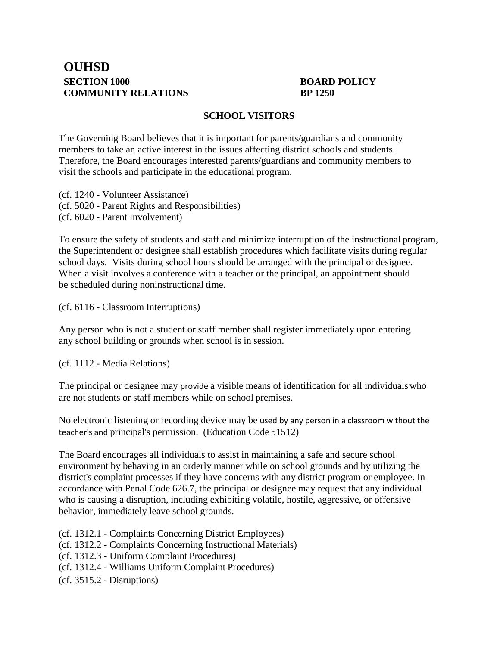## **OUHSD SECTION 1000 BOARD POLICY COMMUNITY RELATIONS BP 1250**

## **SCHOOL VISITORS**

The Governing Board believes that it is important for parents/guardians and community members to take an active interest in the issues affecting district schools and students. Therefore, the Board encourages interested parents/guardians and community members to visit the schools and participate in the educational program.

(cf. 1240 - Volunteer Assistance) (cf. 5020 - Parent Rights and Responsibilities) (cf. 6020 - Parent Involvement)

To ensure the safety of students and staff and minimize interruption of the instructional program, the Superintendent or designee shall establish procedures which facilitate visits during regular school days. Visits during school hours should be arranged with the principal or designee. When a visit involves a conference with a teacher or the principal, an appointment should be scheduled during noninstructional time.

(cf. 6116 - Classroom Interruptions)

Any person who is not a student or staff member shall register immediately upon entering any school building or grounds when school is in session.

(cf. 1112 - Media Relations)

The principal or designee may provide a visible means of identification for all individualswho are not students or staff members while on school premises.

No electronic listening or recording device may be used by any person in a classroom without the teacher's and principal's permission. (Education Code 51512)

The Board encourages all individuals to assist in maintaining a safe and secure school environment by behaving in an orderly manner while on school grounds and by utilizing the district's complaint processes if they have concerns with any district program or employee. In accordance with Penal Code 626.7, the principal or designee may request that any individual who is causing a disruption, including exhibiting volatile, hostile, aggressive, or offensive behavior, immediately leave school grounds.

- (cf. 1312.1 Complaints Concerning District Employees)
- (cf. 1312.2 Complaints Concerning Instructional Materials)
- (cf. 1312.3 Uniform Complaint Procedures)
- (cf. 1312.4 Williams Uniform Complaint Procedures)
- (cf. 3515.2 Disruptions)